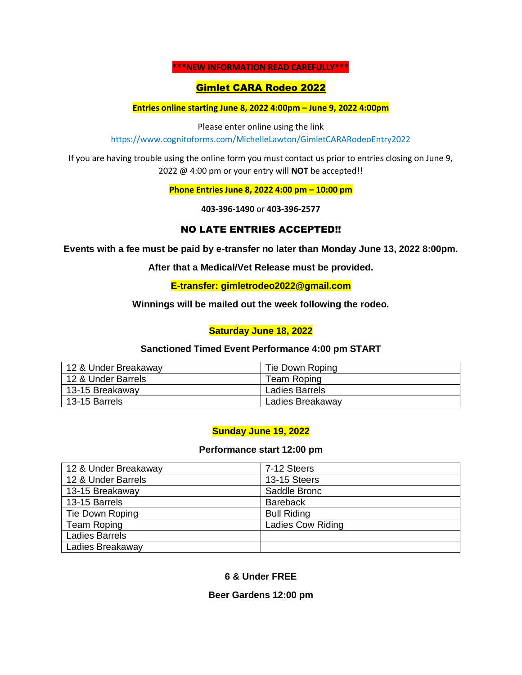#### **\*\*\*NEW INFORMATION READ CAREFULLY\*\*\***

## Gimlet CARA Rodeo 2022

**Entries online starting June 8, 2022 4:00pm – June 9, 2022 4:00pm**

Please enter online using the link https://www.cognitoforms.com/MichelleLawton/GimletCARARodeoEntry2022

If you are having trouble using the online form you must contact us prior to entries closing on June 9, 2022 @ 4:00 pm or your entry will **NOT** be accepted!!

**Phone Entries June 8, 2022 4:00 pm – 10:00 pm**

**403-396-1490** or **403-396-2577**

# NO LATE ENTRIES ACCEPTED!!

**Events with a fee must be paid by e-transfer no later than Monday June 13, 2022 8:00pm.**

**After that a Medical/Vet Release must be provided.**

**E-transfer: gimletrodeo2022@gmail.com**

**Winnings will be mailed out the week following the rodeo.**

## **Saturday June 18, 2022**

### **Sanctioned Timed Event Performance 4:00 pm START**

| 12 & Under Breakaway | Tie Down Roping  |
|----------------------|------------------|
| 12 & Under Barrels   | Team Roping      |
| 13-15 Breakaway      | Ladies Barrels   |
| 13-15 Barrels        | Ladies Breakaway |

# **Sunday June 19, 2022**

### **Performance start 12:00 pm**

| 12 & Under Breakaway  | 7-12 Steers              |
|-----------------------|--------------------------|
| 12 & Under Barrels    | 13-15 Steers             |
| 13-15 Breakaway       | Saddle Bronc             |
| 13-15 Barrels         | <b>Bareback</b>          |
| Tie Down Roping       | <b>Bull Riding</b>       |
| <b>Team Roping</b>    | <b>Ladies Cow Riding</b> |
| <b>Ladies Barrels</b> |                          |
| Ladies Breakaway      |                          |

### **6 & Under FREE**

### **Beer Gardens 12:00 pm**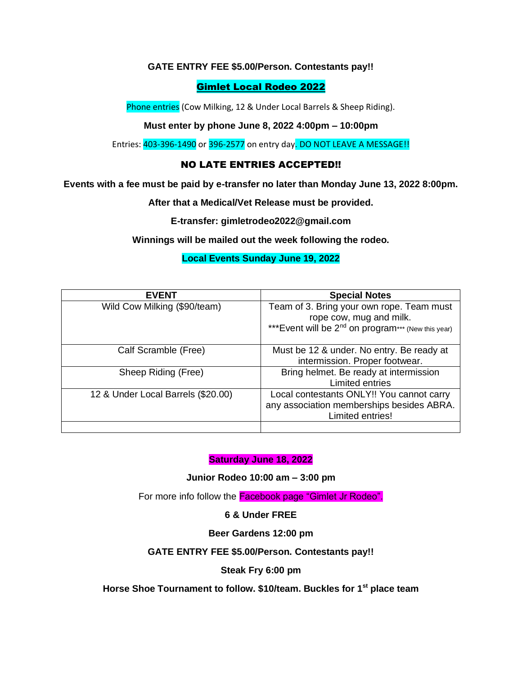## **GATE ENTRY FEE \$5.00/Person. Contestants pay!!**

# Gimlet Local Rodeo 2022

Phone entries (Cow Milking, 12 & Under Local Barrels & Sheep Riding).

### **Must enter by phone June 8, 2022 4:00pm – 10:00pm**

Entries: 403-396-1490 or 396-2577 on entry day. DO NOT LEAVE A MESSAGE!!

# NO LATE ENTRIES ACCEPTED!!

**Events with a fee must be paid by e-transfer no later than Monday June 13, 2022 8:00pm.**

**After that a Medical/Vet Release must be provided.**

**E-transfer: gimletrodeo2022@gmail.com**

**Winnings will be mailed out the week following the rodeo.**

## **Local Events Sunday June 19, 2022**

| <b>EVENT</b>                       | <b>Special Notes</b>                                            |
|------------------------------------|-----------------------------------------------------------------|
| Wild Cow Milking (\$90/team)       | Team of 3. Bring your own rope. Team must                       |
|                                    | rope cow, mug and milk.                                         |
|                                    | *** Event will be 2 <sup>nd</sup> on program*** (New this year) |
|                                    |                                                                 |
| Calf Scramble (Free)               | Must be 12 & under. No entry. Be ready at                       |
|                                    | intermission. Proper footwear.                                  |
| Sheep Riding (Free)                | Bring helmet. Be ready at intermission                          |
|                                    | Limited entries                                                 |
| 12 & Under Local Barrels (\$20.00) | Local contestants ONLY!! You cannot carry                       |
|                                    | any association memberships besides ABRA.                       |
|                                    | Limited entries!                                                |
|                                    |                                                                 |

### **Saturday June 18, 2022**

**Junior Rodeo 10:00 am – 3:00 pm**

For more info follow the **Facebook page "Gimlet Jr Rodeo".** 

### **6 & Under FREE**

#### **Beer Gardens 12:00 pm**

#### **GATE ENTRY FEE \$5.00/Person. Contestants pay!!**

#### **Steak Fry 6:00 pm**

**Horse Shoe Tournament to follow. \$10/team. Buckles for 1st place team**